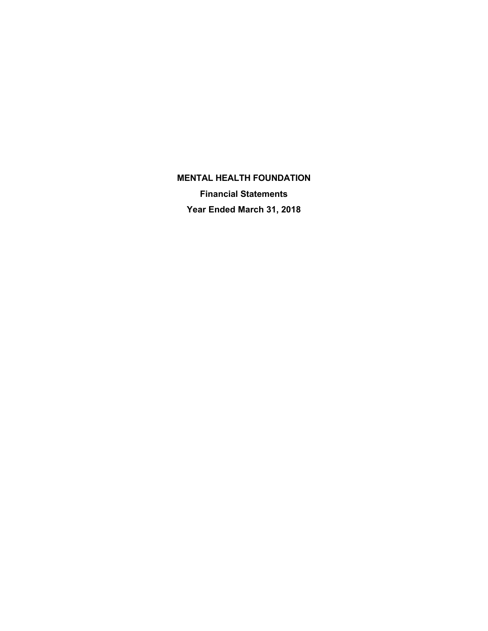**MENTAL HEALTH FOUNDATION Financial Statements Year Ended March 31, 2018**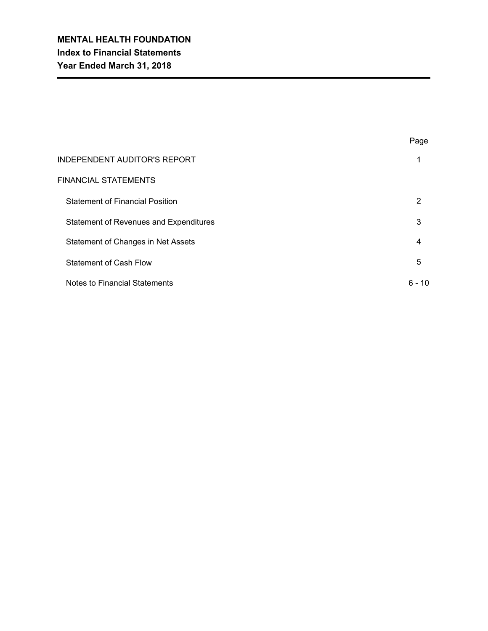|                                               | Page     |
|-----------------------------------------------|----------|
| <b>INDEPENDENT AUDITOR'S REPORT</b>           |          |
| <b>FINANCIAL STATEMENTS</b>                   |          |
| <b>Statement of Financial Position</b>        | 2        |
| <b>Statement of Revenues and Expenditures</b> | 3        |
| <b>Statement of Changes in Net Assets</b>     | 4        |
| <b>Statement of Cash Flow</b>                 | 5        |
| <b>Notes to Financial Statements</b>          | $6 - 10$ |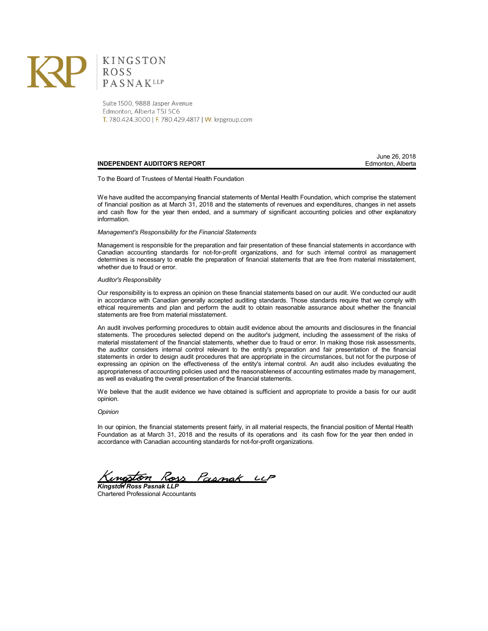

KINGSTON **ROSS** PASNAKLLP

Suite 1500, 9888 Jasper Avenue Edmonton, Alberta T5J 5C6 T. 780.424.3000 | F. 780.429.4817 | W. krpgroup.com

#### **INDEPENDENT AUDITOR'S REPORT Edmonton, Alberta**

June 26, 2018

To the Board of Trustees of Mental Health Foundation

We have audited the accompanying financial statements of Mental Health Foundation, which comprise the statement of financial position as at March 31, 2018 and the statements of revenues and expenditures, changes in net assets and cash flow for the year then ended, and a summary of significant accounting policies and other explanatory information.

#### *Management's Responsibility for the Financial Statements*

Management is responsible for the preparation and fair presentation of these financial statements in accordance with Canadian accounting standards for not-for-profit organizations, and for such internal control as management determines is necessary to enable the preparation of financial statements that are free from material misstatement, whether due to fraud or error.

#### *Auditor's Responsibility*

Our responsibility is to express an opinion on these financial statements based on our audit. We conducted our audit in accordance with Canadian generally accepted auditing standards. Those standards require that we comply with ethical requirements and plan and perform the audit to obtain reasonable assurance about whether the financial statements are free from material misstatement.

An audit involves performing procedures to obtain audit evidence about the amounts and disclosures in the financial statements. The procedures selected depend on the auditor's judgment, including the assessment of the risks of material misstatement of the financial statements, whether due to fraud or error. In making those risk assessments, the auditor considers internal control relevant to the entity's preparation and fair presentation of the financial statements in order to design audit procedures that are appropriate in the circumstances, but not for the purpose of expressing an opinion on the effectiveness of the entity's internal control. An audit also includes evaluating the appropriateness of accounting policies used and the reasonableness of accounting estimates made by management, as well as evaluating the overall presentation of the financial statements.

We believe that the audit evidence we have obtained is sufficient and appropriate to provide a basis for our audit opinion.

*Opinion*

In our opinion, the financial statements present fairly, in all material respects, the financial position of Mental Health Foundation as at March 31, 2018 and the results of its operations and its cash flow for the year then ended in accordance with Canadian accounting standards for not-for-profit organizations.

Ross Pasmak Kin<del>astó</del>n

*Kingston Ross Pasnak LLP* Chartered Professional Accountants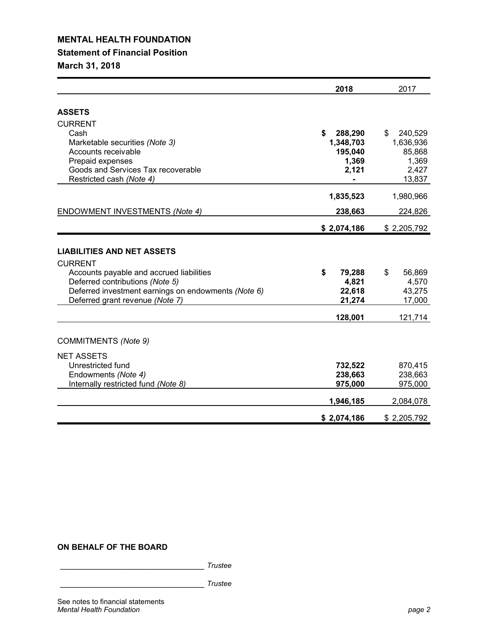# **MENTAL HEALTH FOUNDATION Statement of Financial Position March 31, 2018**

|                                                     | 2018          | 2017          |
|-----------------------------------------------------|---------------|---------------|
|                                                     |               |               |
| <b>ASSETS</b>                                       |               |               |
| <b>CURRENT</b>                                      |               |               |
| Cash                                                | \$<br>288,290 | \$<br>240,529 |
| Marketable securities (Note 3)                      | 1,348,703     | 1,636,936     |
| Accounts receivable                                 | 195,040       | 85,868        |
| Prepaid expenses                                    | 1,369         | 1,369         |
| Goods and Services Tax recoverable                  | 2,121         | 2,427         |
| Restricted cash (Note 4)                            |               | 13,837        |
|                                                     | 1,835,523     | 1,980,966     |
| <b>ENDOWMENT INVESTMENTS (Note 4)</b>               | 238,663       | 224,826       |
|                                                     |               |               |
|                                                     | \$2,074,186   | \$2,205,792   |
|                                                     |               |               |
| <b>LIABILITIES AND NET ASSETS</b>                   |               |               |
| <b>CURRENT</b>                                      |               |               |
| Accounts payable and accrued liabilities            | \$<br>79,288  | 56,869<br>\$  |
| Deferred contributions (Note 5)                     | 4,821         | 4,570         |
| Deferred investment earnings on endowments (Note 6) | 22,618        | 43,275        |
| Deferred grant revenue (Note 7)                     | 21,274        | 17,000        |
|                                                     | 128,001       | 121,714       |
|                                                     |               |               |
| COMMITMENTS (Note 9)                                |               |               |
| <b>NET ASSETS</b>                                   |               |               |
| Unrestricted fund                                   | 732,522       | 870,415       |
| Endowments (Note 4)                                 | 238,663       | 238,663       |
| Internally restricted fund (Note 8)                 | 975,000       | 975,000       |
|                                                     |               |               |
|                                                     | 1,946,185     | 2,084,078     |
|                                                     | \$2,074,186   | \$2,205,792   |

# **ON BEHALF OF THE BOARD**

\_\_\_\_\_\_\_\_\_\_\_\_\_\_\_\_\_\_\_\_\_\_\_\_\_\_\_\_\_ *Trustee*

\_\_\_\_\_\_\_\_\_\_\_\_\_\_\_\_\_\_\_\_\_\_\_\_\_\_\_\_\_ *Trustee*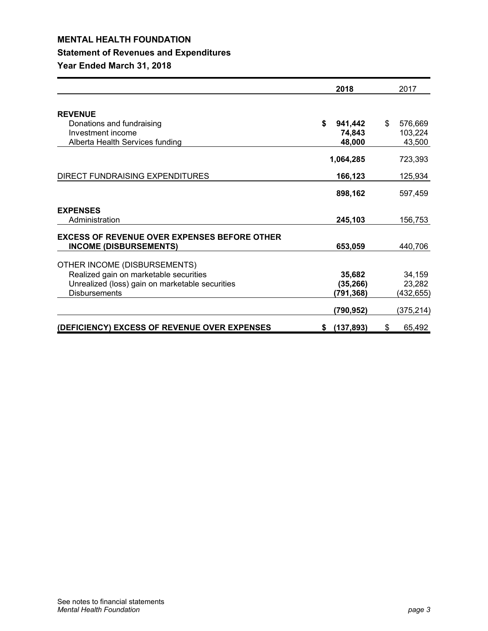# **MENTAL HEALTH FOUNDATION**

# **Statement of Revenues and Expenditures**

**Year Ended March 31, 2018**

|                                                     | 2018            | 2017          |
|-----------------------------------------------------|-----------------|---------------|
| <b>REVENUE</b>                                      |                 |               |
| Donations and fundraising                           | \$<br>941,442   | \$<br>576,669 |
| Investment income                                   | 74,843          | 103,224       |
| Alberta Health Services funding                     | 48,000          | 43,500        |
|                                                     |                 |               |
|                                                     | 1,064,285       | 723,393       |
| <b>DIRECT FUNDRAISING EXPENDITURES</b>              | 166,123         | 125,934       |
|                                                     | 898,162         | 597,459       |
| <b>EXPENSES</b>                                     |                 |               |
| Administration                                      | 245,103         | 156,753       |
|                                                     |                 |               |
| <b>EXCESS OF REVENUE OVER EXPENSES BEFORE OTHER</b> |                 |               |
| <b>INCOME (DISBURSEMENTS)</b>                       | 653,059         | 440,706       |
|                                                     |                 |               |
| OTHER INCOME (DISBURSEMENTS)                        |                 |               |
| Realized gain on marketable securities              | 35,682          | 34,159        |
| Unrealized (loss) gain on marketable securities     | (35, 266)       | 23,282        |
| <b>Disbursements</b>                                | (791,368)       | (432,655)     |
|                                                     | (790,952)       | (375,214)     |
| (DEFICIENCY) EXCESS OF REVENUE OVER EXPENSES        | (137, 893)<br>S | \$<br>65,492  |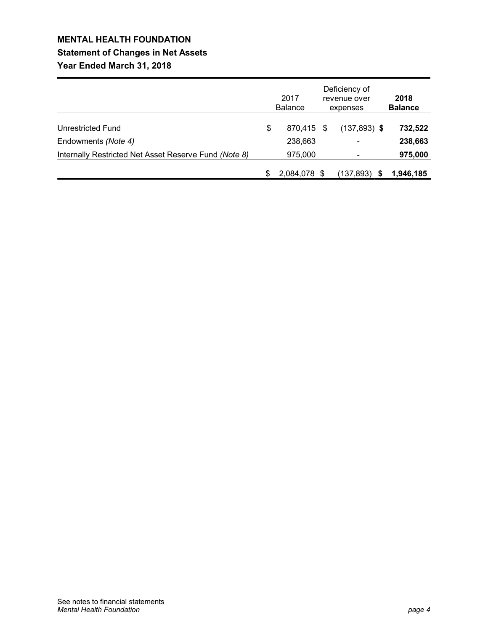# **MENTAL HEALTH FOUNDATION**

# **Statement of Changes in Net Assets**

**Year Ended March 31, 2018**

|                                                       | 2017<br><b>Balance</b> | Deficiency of<br>revenue over<br>expenses | 2018<br><b>Balance</b> |
|-------------------------------------------------------|------------------------|-------------------------------------------|------------------------|
| Unrestricted Fund                                     | \$<br>870,415 \$       | $(137,893)$ \$                            | 732,522                |
| Endowments (Note 4)                                   | 238,663                |                                           | 238,663                |
| Internally Restricted Net Asset Reserve Fund (Note 8) | 975,000                |                                           | 975,000                |
|                                                       | 2,084,078 \$           | (137, 893)                                | 1,946,185              |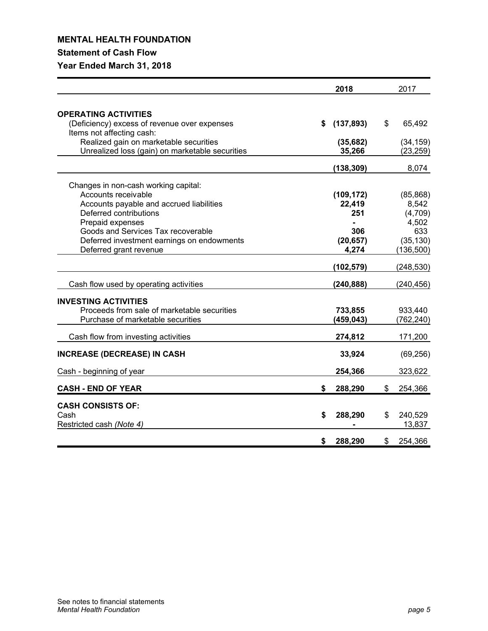# **MENTAL HEALTH FOUNDATION**

# **Statement of Cash Flow**

**Year Ended March 31, 2018**

|                                                                             | 2018          | 2017          |
|-----------------------------------------------------------------------------|---------------|---------------|
|                                                                             |               |               |
| <b>OPERATING ACTIVITIES</b><br>(Deficiency) excess of revenue over expenses | \$(137,893)   | \$<br>65,492  |
| Items not affecting cash:                                                   |               |               |
| Realized gain on marketable securities                                      | (35, 682)     | (34, 159)     |
| Unrealized loss (gain) on marketable securities                             | 35,266        | (23, 259)     |
|                                                                             | (138, 309)    | 8,074         |
| Changes in non-cash working capital:                                        |               |               |
| Accounts receivable                                                         | (109, 172)    | (85, 868)     |
| Accounts payable and accrued liabilities                                    | 22,419        | 8,542         |
| Deferred contributions                                                      | 251           | (4,709)       |
| Prepaid expenses                                                            |               | 4,502         |
| Goods and Services Tax recoverable                                          | 306           | 633           |
| Deferred investment earnings on endowments                                  | (20, 657)     | (35, 130)     |
| Deferred grant revenue                                                      | 4,274         | (136, 500)    |
|                                                                             | (102, 579)    | (248, 530)    |
| Cash flow used by operating activities                                      | (240, 888)    | (240, 456)    |
| <b>INVESTING ACTIVITIES</b>                                                 |               |               |
| Proceeds from sale of marketable securities                                 | 733,855       | 933,440       |
| Purchase of marketable securities                                           | (459, 043)    | (762, 240)    |
|                                                                             |               |               |
| Cash flow from investing activities                                         | 274,812       | 171,200       |
| <b>INCREASE (DECREASE) IN CASH</b>                                          | 33,924        | (69, 256)     |
| Cash - beginning of year                                                    | 254,366       | 323,622       |
| <b>CASH - END OF YEAR</b>                                                   | 288,290<br>\$ | \$<br>254,366 |
| <b>CASH CONSISTS OF:</b>                                                    |               |               |
| Cash                                                                        | 288,290<br>\$ | 240,529<br>S  |
| Restricted cash (Note 4)                                                    |               | 13,837        |
|                                                                             | 288,290<br>\$ | \$<br>254,366 |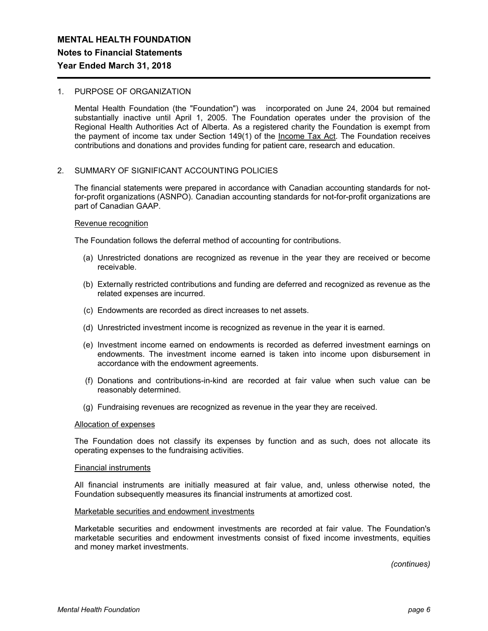# 1. PURPOSE OF ORGANIZATION

Mental Health Foundation (the "Foundation") was incorporated on June 24, 2004 but remained substantially inactive until April 1, 2005. The Foundation operates under the provision of the Regional Health Authorities Act of Alberta. As a registered charity the Foundation is exempt from the payment of income tax under Section 149(1) of the Income Tax Act. The Foundation receives contributions and donations and provides funding for patient care, research and education.

### 2. SUMMARY OF SIGNIFICANT ACCOUNTING POLICIES

The financial statements were prepared in accordance with Canadian accounting standards for notfor-profit organizations (ASNPO). Canadian accounting standards for not-for-profit organizations are part of Canadian GAAP.

#### Revenue recognition

The Foundation follows the deferral method of accounting for contributions.

- (a) Unrestricted donations are recognized as revenue in the year they are received or become receivable.
- (b) Externally restricted contributions and funding are deferred and recognized as revenue as the related expenses are incurred.
- (c) Endowments are recorded as direct increases to net assets.
- (d) Unrestricted investment income is recognized as revenue in the year it is earned.
- (e) Investment income earned on endowments is recorded as deferred investment earnings on endowments. The investment income earned is taken into income upon disbursement in accordance with the endowment agreements.
- (f) Donations and contributions-in-kind are recorded at fair value when such value can be reasonably determined.
- (g) Fundraising revenues are recognized as revenue in the year they are received.

#### Allocation of expenses

The Foundation does not classify its expenses by function and as such, does not allocate its operating expenses to the fundraising activities.

#### Financial instruments

All financial instruments are initially measured at fair value, and, unless otherwise noted, the Foundation subsequently measures its financial instruments at amortized cost.

#### Marketable securities and endowment investments

Marketable securities and endowment investments are recorded at fair value. The Foundation's marketable securities and endowment investments consist of fixed income investments, equities and money market investments.

*(continues)*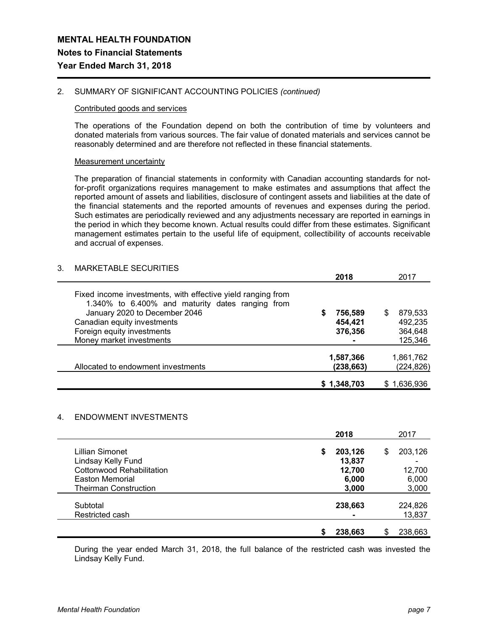# 2. SUMMARY OF SIGNIFICANT ACCOUNTING POLICIES *(continued)*

#### Contributed goods and services

The operations of the Foundation depend on both the contribution of time by volunteers and donated materials from various sources. The fair value of donated materials and services cannot be reasonably determined and are therefore not reflected in these financial statements.

#### Measurement uncertainty

The preparation of financial statements in conformity with Canadian accounting standards for notfor-profit organizations requires management to make estimates and assumptions that affect the reported amount of assets and liabilities, disclosure of contingent assets and liabilities at the date of the financial statements and the reported amounts of revenues and expenses during the period. Such estimates are periodically reviewed and any adjustments necessary are reported in earnings in the period in which they become known. Actual results could differ from these estimates. Significant management estimates pertain to the useful life of equipment, collectibility of accounts receivable and accrual of expenses.

# 3. MARKETABLE SECURITIES

|                                                                                                                 | 2018        |   | 2017        |
|-----------------------------------------------------------------------------------------------------------------|-------------|---|-------------|
| Fixed income investments, with effective yield ranging from<br>1.340% to 6.400% and maturity dates ranging from |             |   |             |
| January 2020 to December 2046                                                                                   | 756,589     | S | 879,533     |
| Canadian equity investments                                                                                     | 454,421     |   | 492,235     |
| Foreign equity investments                                                                                      | 376,356     |   | 364,648     |
| Money market investments                                                                                        |             |   | 125,346     |
|                                                                                                                 | 1,587,366   |   | 1,861,762   |
| Allocated to endowment investments                                                                              | (238, 663)  |   | (224, 826)  |
|                                                                                                                 | \$1,348,703 |   | \$1,636,936 |

# 4. ENDOWMENT INVESTMENTS

|                                  | 2018          | 2017          |
|----------------------------------|---------------|---------------|
| Lillian Simonet                  | 203,126<br>\$ | 203,126<br>\$ |
| Lindsay Kelly Fund               | 13,837        |               |
| <b>Cottonwood Rehabilitation</b> | 12,700        | 12,700        |
| <b>Easton Memorial</b>           | 6,000         | 6,000         |
| <b>Theirman Construction</b>     | 3,000         | 3,000         |
| Subtotal                         | 238,663       | 224,826       |
| Restricted cash                  |               | 13,837        |
|                                  |               |               |
|                                  | 238,663       | 238,663<br>\$ |

During the year ended March 31, 2018, the full balance of the restricted cash was invested the Lindsay Kelly Fund.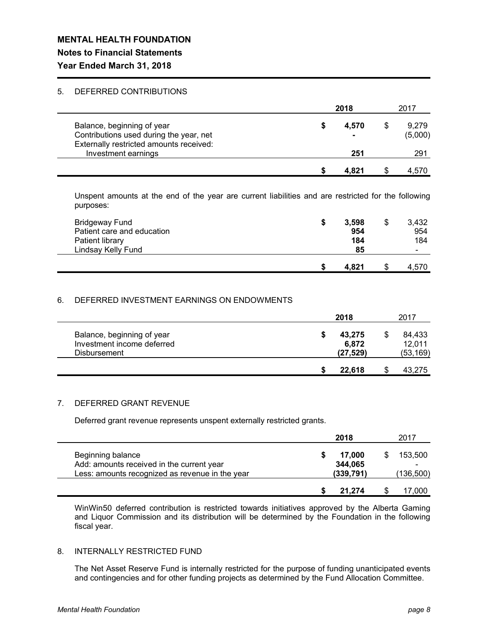# **MENTAL HEALTH FOUNDATION Notes to Financial Statements Year Ended March 31, 2018**

# 5. DEFERRED CONTRIBUTIONS

|                                                                                                                  | 2018  | 2017             |
|------------------------------------------------------------------------------------------------------------------|-------|------------------|
| Balance, beginning of year<br>Contributions used during the year, net<br>Externally restricted amounts received: | 4.570 | 9,279<br>(5,000) |
| Investment earnings                                                                                              | 251   | 291              |
|                                                                                                                  | 4.821 | 4.570            |

Unspent amounts at the end of the year are current liabilities and are restricted for the following purposes:

| <b>Bridgeway Fund</b><br>Patient care and education<br>Patient library<br>Lindsay Kelly Fund | S | 3.598<br>954<br>184<br>85 | \$<br>3,432<br>954<br>184<br>$\blacksquare$ |
|----------------------------------------------------------------------------------------------|---|---------------------------|---------------------------------------------|
|                                                                                              |   | 4.821                     | 4,570                                       |

# 6. DEFERRED INVESTMENT EARNINGS ON ENDOWMENTS

|                                                                                 | 2018                         | 2017                          |
|---------------------------------------------------------------------------------|------------------------------|-------------------------------|
| Balance, beginning of year<br>Investment income deferred<br><b>Disbursement</b> | 43,275<br>6,872<br>(27, 529) | 84,433<br>12,011<br>(53, 169) |
|                                                                                 | 22.618                       | 43,275                        |

# 7. DEFERRED GRANT REVENUE

Deferred grant revenue represents unspent externally restricted grants.

|                                                                                                                   | 2018                            | 2017                  |
|-------------------------------------------------------------------------------------------------------------------|---------------------------------|-----------------------|
| Beginning balance<br>Add: amounts received in the current year<br>Less: amounts recognized as revenue in the year | 17.000<br>344,065<br>(339, 791) | 153.500<br>(136, 500) |
|                                                                                                                   | 21.274                          | 17,000                |

WinWin50 deferred contribution is restricted towards initiatives approved by the Alberta Gaming and Liquor Commission and its distribution will be determined by the Foundation in the following fiscal year.

# 8. INTERNALLY RESTRICTED FUND

The Net Asset Reserve Fund is internally restricted for the purpose of funding unanticipated events and contingencies and for other funding projects as determined by the Fund Allocation Committee.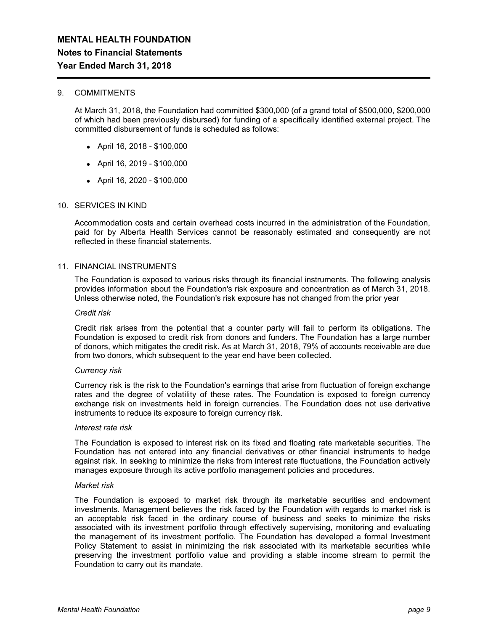### 9. COMMITMENTS

At March 31, 2018, the Foundation had committed \$300,000 (of a grand total of \$500,000, \$200,000 of which had been previously disbursed) for funding of a specifically identified external project. The committed disbursement of funds is scheduled as follows:

- April 16, 2018 \$100,000
- April 16, 2019 \$100,000
- April 16, 2020 \$100,000

### 10. SERVICES IN KIND

Accommodation costs and certain overhead costs incurred in the administration of the Foundation, paid for by Alberta Health Services cannot be reasonably estimated and consequently are not reflected in these financial statements.

#### 11. FINANCIAL INSTRUMENTS

The Foundation is exposed to various risks through its financial instruments. The following analysis provides information about the Foundation's risk exposure and concentration as of March 31, 2018. Unless otherwise noted, the Foundation's risk exposure has not changed from the prior year

#### *Credit risk*

Credit risk arises from the potential that a counter party will fail to perform its obligations. The Foundation is exposed to credit risk from donors and funders. The Foundation has a large number of donors, which mitigates the credit risk. As at March 31, 2018, 79% of accounts receivable are due from two donors, which subsequent to the year end have been collected.

#### *Currency risk*

Currency risk is the risk to the Foundation's earnings that arise from fluctuation of foreign exchange rates and the degree of volatility of these rates. The Foundation is exposed to foreign currency exchange risk on investments held in foreign currencies. The Foundation does not use derivative instruments to reduce its exposure to foreign currency risk.

#### *Interest rate risk*

The Foundation is exposed to interest risk on its fixed and floating rate marketable securities. The Foundation has not entered into any financial derivatives or other financial instruments to hedge against risk. In seeking to minimize the risks from interest rate fluctuations, the Foundation actively manages exposure through its active portfolio management policies and procedures.

#### *Market risk*

The Foundation is exposed to market risk through its marketable securities and endowment investments. Management believes the risk faced by the Foundation with regards to market risk is an acceptable risk faced in the ordinary course of business and seeks to minimize the risks associated with its investment portfolio through effectively supervising, monitoring and evaluating the management of its investment portfolio. The Foundation has developed a formal Investment Policy Statement to assist in minimizing the risk associated with its marketable securities while preserving the investment portfolio value and providing a stable income stream to permit the Foundation to carry out its mandate.